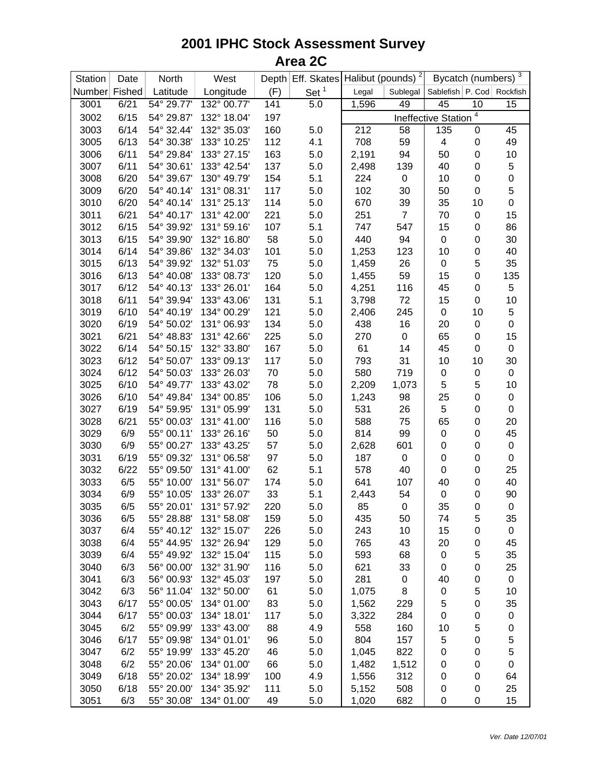## **2001 IPHC Stock Assessment Survey Area 2C**

| Station       | Date | North      | West        |     | Depth $Eff.$ Skates Halibut (pounds) <sup>2</sup> |       |                  |                            |                  | Bycatch (numbers) 3 |
|---------------|------|------------|-------------|-----|---------------------------------------------------|-------|------------------|----------------------------|------------------|---------------------|
| Number Fished |      | Latitude   | Longitude   | (F) | Set <sup>1</sup>                                  | Legal | Sublegal         | Sablefish P. Cod Rockfish  |                  |                     |
| 3001          | 6/21 | 54° 29.77' | 132° 00.77' | 141 | 5.0                                               | 1,596 | 49               | 45                         | 10               | 15                  |
| 3002          | 6/15 | 54° 29.87' | 132° 18.04' | 197 |                                                   |       |                  | <b>Ineffective Station</b> | 4                |                     |
| 3003          | 6/14 | 54° 32.44' | 132° 35.03' | 160 | 5.0                                               | 212   | 58               | 135                        | 0                | 45                  |
| 3005          | 6/13 | 54° 30.38' | 133° 10.25' | 112 | 4.1                                               | 708   | 59               | $\overline{\mathbf{4}}$    | 0                | 49                  |
| 3006          | 6/11 | 54° 29.84' | 133° 27.15' | 163 | 5.0                                               | 2,191 | 94               | 50                         | $\pmb{0}$        | 10                  |
| 3007          | 6/11 | 54° 30.61' | 133° 42.54' | 137 | 5.0                                               | 2,498 | 139              | 40                         | $\pmb{0}$        | 5                   |
| 3008          | 6/20 | 54° 39.67' | 130° 49.79' | 154 | 5.1                                               | 224   | $\boldsymbol{0}$ | 10                         | $\pmb{0}$        | $\mathbf 0$         |
| 3009          | 6/20 | 54° 40.14' | 131° 08.31' | 117 | 5.0                                               | 102   | 30               | 50                         | $\mathbf 0$      | 5                   |
| 3010          | 6/20 | 54° 40.14' | 131° 25.13' | 114 | 5.0                                               | 670   | 39               | 35                         | 10               | $\mathbf 0$         |
| 3011          | 6/21 | 54° 40.17' | 131° 42.00' | 221 | 5.0                                               | 251   | $\overline{7}$   | 70                         | 0                | 15                  |
| 3012          | 6/15 | 54° 39.92' | 131° 59.16' | 107 | 5.1                                               | 747   | 547              | 15                         | 0                | 86                  |
| 3013          | 6/15 | 54° 39.90' | 132° 16.80' | 58  | 5.0                                               | 440   | 94               | $\pmb{0}$                  | 0                | 30                  |
| 3014          | 6/14 | 54° 39.86' | 132° 34.03' | 101 | 5.0                                               | 1,253 | 123              | 10                         | $\pmb{0}$        | 40                  |
| 3015          | 6/13 | 54° 39.92' | 132° 51.03' | 75  | 5.0                                               | 1,459 | 26               | $\pmb{0}$                  | 5                | 35                  |
| 3016          | 6/13 | 54° 40.08' | 133° 08.73' | 120 | 5.0                                               | 1,455 | 59               | 15                         | $\pmb{0}$        | 135                 |
| 3017          | 6/12 | 54° 40.13' | 133° 26.01' | 164 | 5.0                                               | 4,251 | 116              | 45                         | 0                | 5                   |
| 3018          | 6/11 | 54° 39.94' | 133° 43.06' | 131 | 5.1                                               | 3,798 | 72               | 15                         | $\boldsymbol{0}$ | 10                  |
| 3019          | 6/10 | 54° 40.19' | 134° 00.29' | 121 | 5.0                                               | 2,406 | 245              | $\pmb{0}$                  | 10               | 5                   |
| 3020          | 6/19 | 54° 50.02' | 131° 06.93' | 134 | 5.0                                               | 438   | 16               | 20                         | 0                | $\mathbf 0$         |
| 3021          | 6/21 | 54° 48.83' | 131° 42.66' | 225 | 5.0                                               | 270   | $\pmb{0}$        | 65                         | 0                | 15                  |
| 3022          | 6/14 | 54° 50.15' | 132° 33.80' | 167 | 5.0                                               | 61    | 14               | 45                         | $\pmb{0}$        | $\pmb{0}$           |
| 3023          | 6/12 | 54° 50.07' | 133° 09.13' | 117 | 5.0                                               | 793   | 31               | 10                         | 10               | 30                  |
| 3024          | 6/12 | 54° 50.03' | 133° 26.03' | 70  | 5.0                                               | 580   | 719              | $\pmb{0}$                  | $\pmb{0}$        | $\pmb{0}$           |
| 3025          | 6/10 | 54° 49.77' | 133° 43.02' | 78  | 5.0                                               | 2,209 | 1,073            | 5                          | 5                | 10                  |
| 3026          | 6/10 | 54° 49.84' | 134° 00.85' | 106 | 5.0                                               | 1,243 | 98               | 25                         | $\pmb{0}$        | $\,0\,$             |
| 3027          | 6/19 | 54° 59.95' | 131° 05.99' | 131 | 5.0                                               | 531   | 26               | 5                          | 0                | $\boldsymbol{0}$    |
| 3028          | 6/21 | 55° 00.03' | 131° 41.00' | 116 | 5.0                                               | 588   | 75               | 65                         | $\pmb{0}$        | 20                  |
| 3029          | 6/9  | 55° 00.11' | 133° 26.16' | 50  | 5.0                                               | 814   | 99               | $\pmb{0}$                  | 0                | 45                  |
| 3030          | 6/9  | 55° 00.27' | 133° 43.25' | 57  | 5.0                                               | 2,628 | 601              | 0                          | 0                | $\mathbf 0$         |
| 3031          | 6/19 | 55° 09.32' | 131° 06.58' | 97  | 5.0                                               | 187   | $\boldsymbol{0}$ | 0                          | 0                | $\mathbf 0$         |
| 3032          | 6/22 | 55° 09.50' | 131° 41.00' | 62  | 5.1                                               | 578   | 40               | $\pmb{0}$                  | $\pmb{0}$        | 25                  |
| 3033          | 6/5  | 55° 10.00' | 131° 56.07' | 174 | 5.0                                               | 641   | 107              | 40                         | 0                | 40                  |
| 3034          | 6/9  | 55° 10.05' | 133° 26.07' | 33  | 5.1                                               | 2,443 | 54               | $\,0\,$                    | 0                | 90                  |
| 3035          | 6/5  | 55° 20.01' | 131° 57.92' | 220 | 5.0                                               | 85    | $\boldsymbol{0}$ | 35                         | $\pmb{0}$        | $\mathbf 0$         |
| 3036          | 6/5  | 55° 28.88' | 131° 58.08' | 159 | 5.0                                               | 435   | 50               | 74                         | 5                | 35                  |
| 3037          | 6/4  | 55° 40.12' | 132° 15.07' | 226 | 5.0                                               | 243   | 10               | 15                         | 0                | $\pmb{0}$           |
| 3038          | 6/4  | 55° 44.95' | 132° 26.94' | 129 | 5.0                                               | 765   | 43               | 20                         | $\pmb{0}$        | 45                  |
| 3039          | 6/4  | 55° 49.92' | 132° 15.04' | 115 | 5.0                                               | 593   | 68               | 0                          | 5                | 35                  |
| 3040          | 6/3  | 56° 00.00' | 132° 31.90' | 116 | 5.0                                               | 621   | 33               | 0                          | 0                | 25                  |
| 3041          | 6/3  | 56° 00.93' | 132° 45.03' | 197 | 5.0                                               | 281   | $\pmb{0}$        | 40                         | 0                | $\,0\,$             |
| 3042          | 6/3  | 56° 11.04' | 132° 50.00' | 61  | 5.0                                               | 1,075 | 8                | $\pmb{0}$                  | 5                | 10                  |
| 3043          | 6/17 | 55° 00.05' | 134° 01.00' | 83  | 5.0                                               | 1,562 | 229              | 5                          | 0                | 35                  |
| 3044          | 6/17 | 55° 00.03' | 134° 18.01' | 117 | 5.0                                               | 3,322 | 284              | 0                          | $\pmb{0}$        | 0                   |
| 3045          | 6/2  | 55° 09.99' | 133° 43.00' | 88  | 4.9                                               | 558   | 160              | 10                         | 5                | 0                   |
| 3046          | 6/17 | 55° 09.98' | 134° 01.01' | 96  | 5.0                                               | 804   | 157              | 5                          | 0                | 5                   |
| 3047          | 6/2  | 55° 19.99' | 133° 45.20' | 46  | 5.0                                               | 1,045 | 822              | 0                          | 0                | $\mathbf 5$         |
| 3048          | 6/2  | 55° 20.06' | 134° 01.00' | 66  | 5.0                                               | 1,482 | 1,512            | 0                          | 0                | 0                   |
| 3049          | 6/18 | 55° 20.02' | 134° 18.99' | 100 | 4.9                                               | 1,556 | 312              | 0                          | 0                | 64                  |
| 3050          | 6/18 | 55° 20.00' | 134° 35.92' | 111 | 5.0                                               | 5,152 | 508              | 0                          | 0                | 25                  |
| 3051          | 6/3  | 55° 30.08' | 134° 01.00' | 49  | 5.0                                               | 1,020 | 682              | 0                          | 0                | 15                  |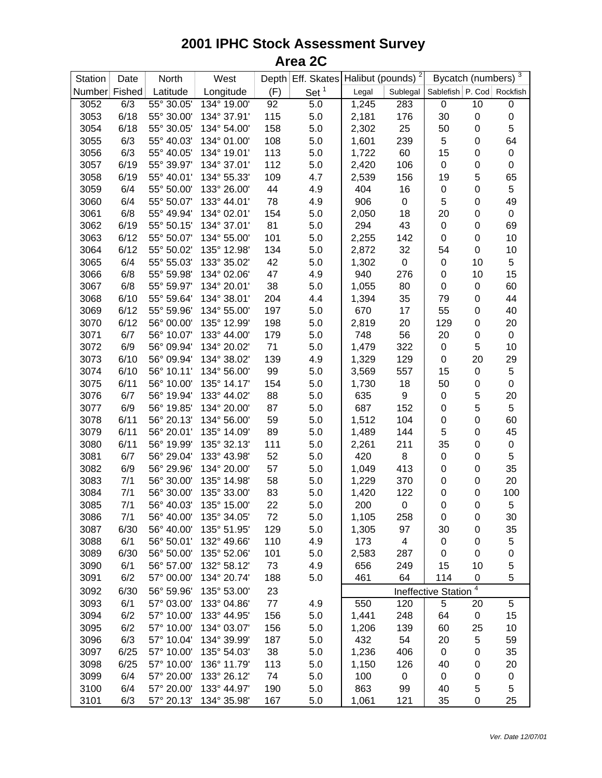## **2001 IPHC Stock Assessment Survey Area 2C**

| Station       | Date | North      | West        |     | Depth Eff. Skates |       | Halibut (pounds) <sup>2</sup> | Bycatch (numbers)         |             | 3                |
|---------------|------|------------|-------------|-----|-------------------|-------|-------------------------------|---------------------------|-------------|------------------|
| Number Fished |      | Latitude   | Longitude   | (F) | Set <sup>1</sup>  | Legal | Sublegal                      | Sablefish P. Cod Rockfish |             |                  |
| 3052          | 6/3  | 55° 30.05' | 134° 19.00' | 92  | 5.0               | 1,245 | 283                           | 0                         | 10          | $\boldsymbol{0}$ |
| 3053          | 6/18 | 55° 30.00' | 134° 37.91' | 115 | 5.0               | 2,181 | 176                           | 30                        | 0           | $\mathbf 0$      |
| 3054          | 6/18 | 55° 30.05' | 134° 54.00' | 158 | 5.0               | 2,302 | 25                            | 50                        | 0           | 5                |
| 3055          | 6/3  | 55° 40.03' | 134° 01.00' | 108 | 5.0               | 1,601 | 239                           | 5                         | 0           | 64               |
| 3056          | 6/3  | 55° 40.05' | 134° 19.01' | 113 | 5.0               | 1,722 | 60                            | 15                        | $\pmb{0}$   | $\pmb{0}$        |
| 3057          | 6/19 | 55° 39.97' | 134° 37.01' | 112 | 5.0               | 2,420 | 106                           | 0                         | $\pmb{0}$   | $\mathbf 0$      |
| 3058          | 6/19 | 55° 40.01' | 134° 55.33' | 109 | 4.7               | 2,539 | 156                           | 19                        | 5           | 65               |
| 3059          | 6/4  | 55° 50.00' | 133° 26.00' | 44  | 4.9               | 404   | 16                            | 0                         | $\pmb{0}$   | 5                |
| 3060          | 6/4  | 55° 50.07' | 133° 44.01' | 78  | 4.9               | 906   | $\pmb{0}$                     | 5                         | $\pmb{0}$   | 49               |
| 3061          | 6/8  | 55° 49.94' | 134° 02.01' | 154 | 5.0               | 2,050 | 18                            | 20                        | $\pmb{0}$   | $\pmb{0}$        |
| 3062          | 6/19 | 55° 50.15' | 134° 37.01' | 81  | 5.0               | 294   | 43                            | $\pmb{0}$                 | 0           | 69               |
| 3063          | 6/12 | 55° 50.07' | 134° 55.00' | 101 | 5.0               | 2,255 | 142                           | $\pmb{0}$                 | $\mathbf 0$ | 10               |
| 3064          | 6/12 | 55° 50.02' | 135° 12.98' | 134 | 5.0               | 2,872 | 32                            | 54                        | $\mathbf 0$ | 10               |
| 3065          | 6/4  | 55° 55.03' | 133° 35.02' | 42  | 5.0               | 1,302 | $\boldsymbol{0}$              | 0                         | 10          | 5                |
| 3066          | 6/8  | 55° 59.98' | 134° 02.06' | 47  | 4.9               | 940   | 276                           | 0                         | 10          | 15               |
| 3067          | 6/8  | 55° 59.97' | 134° 20.01' | 38  | 5.0               | 1,055 | 80                            | $\pmb{0}$                 | 0           | 60               |
| 3068          | 6/10 | 55° 59.64' | 134° 38.01' | 204 | 4.4               | 1,394 | 35                            | 79                        | 0           | 44               |
| 3069          | 6/12 | 55° 59.96' | 134° 55.00' | 197 | 5.0               | 670   | 17                            | 55                        | 0           | 40               |
| 3070          | 6/12 | 56° 00.00' | 135° 12.99' | 198 | 5.0               | 2,819 | 20                            | 129                       | 0           | 20               |
| 3071          | 6/7  | 56° 10.07' | 133° 44.00' | 179 | 5.0               | 748   | 56                            | 20                        | $\pmb{0}$   | $\pmb{0}$        |
| 3072          | 6/9  | 56° 09.94' | 134° 20.02' | 71  | 5.0               | 1,479 | 322                           | $\pmb{0}$                 | 5           | 10               |
| 3073          | 6/10 | 56° 09.94' | 134° 38.02' | 139 | 4.9               | 1,329 | 129                           | 0                         | 20          | 29               |
| 3074          | 6/10 | 56° 10.11' | 134° 56.00' | 99  | 5.0               | 3,569 | 557                           | 15                        | $\pmb{0}$   | 5                |
| 3075          | 6/11 | 56° 10.00' | 135° 14.17' | 154 | 5.0               | 1,730 | 18                            | 50                        | 0           | $\mathbf 0$      |
| 3076          | 6/7  | 56° 19.94' | 133° 44.02' | 88  | 5.0               | 635   | $\boldsymbol{9}$              | $\pmb{0}$                 | $\mathbf 5$ | 20               |
| 3077          | 6/9  | 56° 19.85' | 134° 20.00' | 87  | 5.0               | 687   | 152                           | 0                         | 5           | 5                |
| 3078          | 6/11 | 56° 20.13' | 134° 56.00' | 59  | 5.0               | 1,512 | 104                           | 0                         | $\pmb{0}$   | 60               |
| 3079          | 6/11 | 56° 20.01' | 135° 14.09' | 89  | 5.0               | 1,489 | 144                           | 5                         | 0           | 45               |
| 3080          | 6/11 | 56° 19.99' | 135° 32.13' | 111 | 5.0               | 2,261 | 211                           | 35                        | 0           | $\,0\,$          |
| 3081          | 6/7  | 56° 29.04' | 133° 43.98' | 52  | 5.0               | 420   | 8                             | 0                         | 0           | 5                |
| 3082          | 6/9  | 56° 29.96' | 134° 20.00' | 57  | 5.0               | 1,049 | 413                           | 0                         | 0           | 35               |
| 3083          | 7/1  | 56° 30.00' | 135° 14.98' | 58  | 5.0               | 1,229 | 370                           | 0                         | $\mathbf 0$ | 20               |
| 3084          | 7/1  | 56° 30.00' | 135° 33.00' | 83  | 5.0               | 1,420 | 122                           | 0                         | $\mathbf 0$ | 100              |
| 3085          | 7/1  | 56° 40.03' | 135° 15.00' | 22  | 5.0               | 200   | $\pmb{0}$                     | $\mathsf 0$               | $\pmb{0}$   | 5                |
| 3086          | 7/1  | 56° 40.00' | 135° 34.05' | 72  | 5.0               | 1,105 | 258                           | 0                         | 0           | 30               |
| 3087          | 6/30 | 56° 40.00' | 135° 51.95' | 129 | 5.0               | 1,305 | 97                            | 30                        | 0           | 35               |
| 3088          | 6/1  | 56° 50.01' | 132° 49.66' | 110 | 4.9               | 173   | 4                             | 0                         | 0           | 5                |
| 3089          | 6/30 | 56° 50.00' | 135° 52.06' | 101 | 5.0               | 2,583 | 287                           | 0                         | $\mathbf 0$ | 0                |
| 3090          | 6/1  | 56° 57.00' | 132° 58.12' | 73  | 4.9               | 656   | 249                           | 15                        | 10          | 5                |
| 3091          | 6/2  | 57° 00.00' | 134° 20.74' | 188 | 5.0               | 461   | 64                            | 114                       | 0           | 5                |
| 3092          | 6/30 | 56° 59.96' | 135° 53.00' | 23  |                   |       |                               | Ineffective Station       | 4           |                  |
| 3093          | 6/1  | 57° 03.00' | 133° 04.86' | 77  | 4.9               | 550   | 120                           | 5                         | 20          | 5                |
| 3094          | 6/2  | 57° 10.00' | 133° 44.95' | 156 | 5.0               | 1,441 | 248                           | 64                        | 0           | 15               |
| 3095          | 6/2  | 57° 10.00' | 134° 03.07' | 156 | 5.0               | 1,206 | 139                           | 60                        | 25          | 10               |
| 3096          | 6/3  | 57° 10.04' | 134° 39.99' | 187 | 5.0               | 432   | 54                            | 20                        | 5           | 59               |
| 3097          | 6/25 | 57° 10.00' | 135° 54.03' | 38  | 5.0               | 1,236 | 406                           | 0                         | 0           | 35               |
| 3098          | 6/25 | 57° 10.00' | 136° 11.79' | 113 | 5.0               | 1,150 | 126                           | 40                        | $\mathbf 0$ | 20               |
| 3099          | 6/4  | 57° 20.00' | 133° 26.12' | 74  | 5.0               | 100   | $\pmb{0}$                     | $\mathbf 0$               | 0           | $\pmb{0}$        |
| 3100          | 6/4  | 57° 20.00' | 133° 44.97' | 190 | 5.0               | 863   | 99                            | 40                        | 5           | 5                |
| 3101          | 6/3  | 57° 20.13' | 134° 35.98' | 167 | 5.0               | 1,061 | 121                           | 35                        | 0           | 25               |